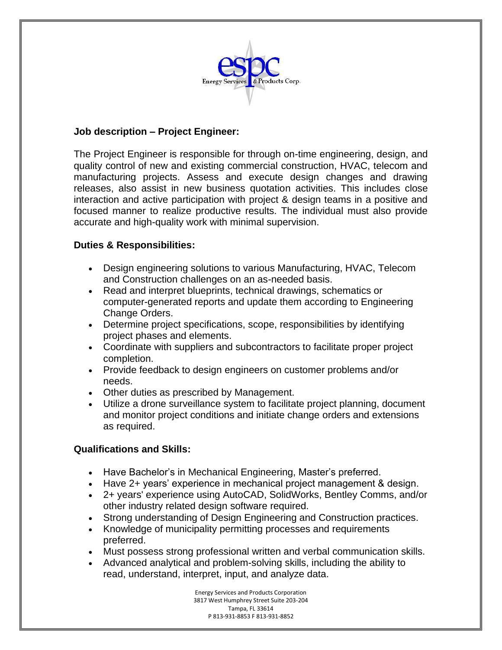

# **Job description – Project Engineer:**

The Project Engineer is responsible for through on-time engineering, design, and quality control of new and existing commercial construction, HVAC, telecom and manufacturing projects. Assess and execute design changes and drawing releases, also assist in new business quotation activities. This includes close interaction and active participation with project & design teams in a positive and focused manner to realize productive results. The individual must also provide accurate and high-quality work with minimal supervision.

## **Duties & Responsibilities:**

- Design engineering solutions to various Manufacturing, HVAC, Telecom and Construction challenges on an as-needed basis.
- Read and interpret blueprints, technical drawings, schematics or computer-generated reports and update them according to Engineering Change Orders.
- Determine project specifications, scope, responsibilities by identifying project phases and elements.
- Coordinate with suppliers and subcontractors to facilitate proper project completion.
- Provide feedback to design engineers on customer problems and/or needs.
- Other duties as prescribed by Management.
- Utilize a drone surveillance system to facilitate project planning, document and monitor project conditions and initiate change orders and extensions as required.

# **Qualifications and Skills:**

- Have Bachelor's in Mechanical Engineering, Master's preferred.
- Have 2+ years' experience in mechanical project management & design.
- 2+ years' experience using AutoCAD, SolidWorks, Bentley Comms, and/or other industry related design software required.
- Strong understanding of Design Engineering and Construction practices.
- Knowledge of municipality permitting processes and requirements preferred.
- Must possess strong professional written and verbal communication skills.
- Advanced analytical and problem-solving skills, including the ability to read, understand, interpret, input, and analyze data.

Energy Services and Products Corporation 3817 West Humphrey Street Suite 203-204 Tampa, FL 33614 P 813-931-8853 F 813-931-8852